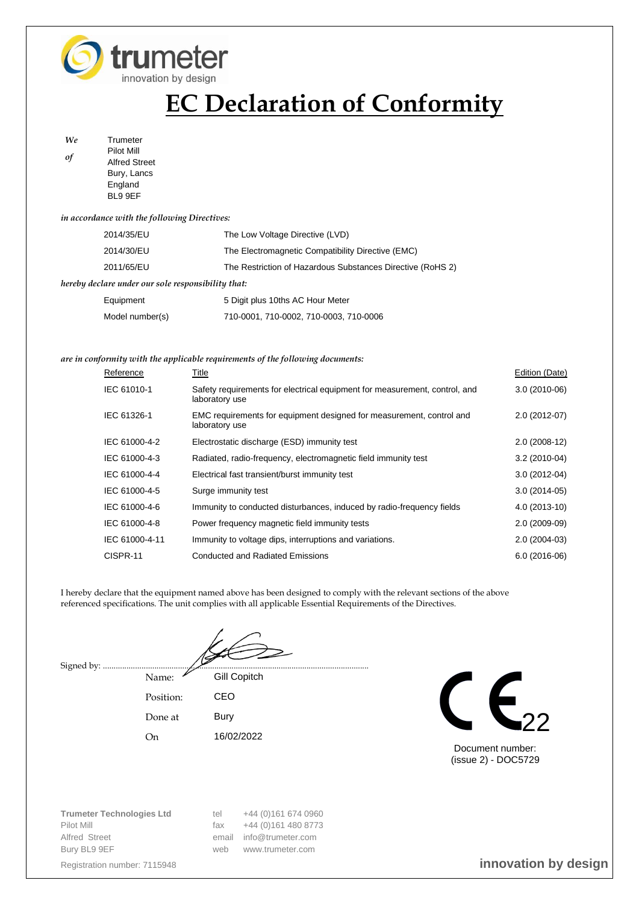

# **EC Declaration of Conformity**

*We* Trumeter *of* Pilot Mill Alfred Street Bury, Lancs **England** BL9 9EF

## *in accordance with the following Directives:*

| 2014/35/EU                                         | The Low Voltage Directive (LVD)                            |  |
|----------------------------------------------------|------------------------------------------------------------|--|
| 2014/30/EU                                         | The Electromagnetic Compatibility Directive (EMC)          |  |
| 2011/65/EU                                         | The Restriction of Hazardous Substances Directive (RoHS 2) |  |
| hereby declare under our sole responsibility that: |                                                            |  |
| Equipment                                          | 5 Digit plus 10ths AC Hour Meter                           |  |

### *are in conformity with the applicable requirements of the following documents:*

Model number(s) 710-0001, 710-0002, 710-0003, 710-0006

| Reference      | Title                                                                                        | Edition (Date) |
|----------------|----------------------------------------------------------------------------------------------|----------------|
| IEC 61010-1    | Safety requirements for electrical equipment for measurement, control, and<br>laboratory use | $3.0(2010-06)$ |
| IEC 61326-1    | EMC requirements for equipment designed for measurement, control and<br>laboratory use       | 2.0 (2012-07)  |
| IEC 61000-4-2  | Electrostatic discharge (ESD) immunity test                                                  | $2.0(2008-12)$ |
| IEC 61000-4-3  | Radiated, radio-frequency, electromagnetic field immunity test                               | $3.2(2010-04)$ |
| IEC 61000-4-4  | Electrical fast transient/burst immunity test                                                | $3.0(2012-04)$ |
| IEC 61000-4-5  | Surge immunity test                                                                          | $3.0(2014-05)$ |
| IEC 61000-4-6  | Immunity to conducted disturbances, induced by radio-frequency fields                        | 4.0 (2013-10)  |
| IEC 61000-4-8  | Power frequency magnetic field immunity tests                                                | $2.0(2009-09)$ |
| IEC 61000-4-11 | Immunity to voltage dips, interruptions and variations.                                      | $2.0(2004-03)$ |
| CISPR-11       | <b>Conducted and Radiated Emissions</b>                                                      | $6.0(2016-06)$ |

I hereby declare that the equipment named above has been designed to comply with the relevant sections of the above referenced specifications. The unit complies with all applicable Essential Requirements of the Directives.

Signed by: ....

Name: Gill Copitch Position: CEO Done at Bury On 16/02/2022



Document number: (issue 2) - DOC5729

**Trumeter Technologies Ltd** tel +44 (0)161 674 0960 Pilot Mill **Filot Mill** fax  $+44$  (0)161 480 8773 Alfred Street email info@trumeter.com Bury BL9 9EF www.trumeter.com

Registration number: 7115948 **innovation by design**